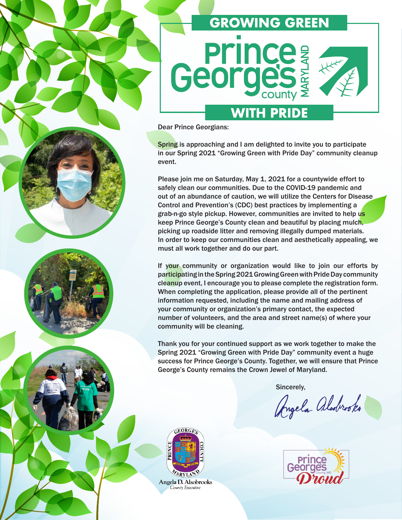# **GROWING GREEN Georges WITH PRIDE**

Dear Prince Georgians:

Spring is approaching and I am delighted to invite you to participate in our Spring 2021 "Growing Green with Pride Day" community cleanup event.

Please join me on Saturday, May 1, 2021 for a countywide effort to safely clean our communities. Due to the COVID-19 pandemic and out of an abundance of caution, we will utilize the Centers for Disease Control and Prevention's (CDC) best practices by implementing a grab-n-go style pickup. However, communities are invited to help us keep Prince George's County clean and beautiful by placing mulch, picking up roadside litter and removing illegally dumped materials. In order to keep our communities clean and aesthetically appealing, we must all work together and do our part.

If your community or organization would like to join our efforts by participating in the Spring 2021 Growing Green with Pride Day community cleanup event, I encourage you to please complete the registration form. When completing the application, please provide all of the pertinent information requested, including the name and mailing address of your community or organization's primary contact, the expected number of volunteers, and the area and street name(s) of where your community will be cleaning.

Thank you for your continued support as we work together to make the Spring 2021 "Growing Green with Pride Day" community event a huge success for Prince George's County. Together, we will ensure that Prince George's County remains the Crown Jewel of Maryland.

Sincerely,

Angela Aladrooks





Angela D. Alsobrooks County Executive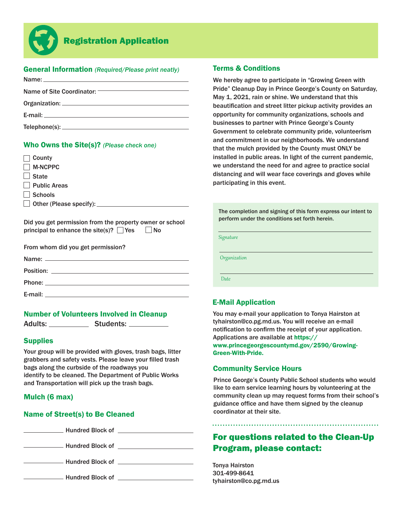

# Registration Application

## General Information *(Required/Please print neatly)*

| <b>E-mail:</b> E-mail: |  |
|------------------------|--|
|                        |  |

#### Who Owns the Site(s)? *(Please check one)*

| County                                                                                                             |
|--------------------------------------------------------------------------------------------------------------------|
| <b>M-NCPPC</b>                                                                                                     |
| <b>State</b>                                                                                                       |
| <b>Public Areas</b>                                                                                                |
| Schools                                                                                                            |
| $\Box$ Other (Please specify): $\Box$                                                                              |
|                                                                                                                    |
| Did you get permission from the property owner or school<br>principal to enhance the site(s)? $\Box$ Yes $\Box$ No |
| From whom did you get permission?                                                                                  |
| Name:                                                                                                              |

| Position: |  |
|-----------|--|
|           |  |
| Phone:    |  |
| E-mail:   |  |

#### Number of Volunteers Involved in Cleanup

Adults: Students:

#### **Supplies**

Your group will be provided with gloves, trash bags, litter grabbers and safety vests. Please leave your filled trash bags along the curbside of the roadways you identify to be cleaned. The Department of Public Works and Transportation will pick up the trash bags.

#### Mulch (6 max)

#### Name of Street(s) to Be Cleaned

Mundred Block of **Constanting Street Block of Allen Constanting Street Block** 

**Example 20 Hundred Block of Example 20 Hundred Block of** 

Hundred Block of **National Act of Act and Act of Act of Act of Act of Act of Act of Act of Act of Act of Act of Act of Act of Act of Act of Act of Act of Act of Act of Act of Act of Act of Act of Act of Act of Act of Act o** 

Hundred Block of **Exercise 2018** 

#### Terms & Conditions

We hereby agree to participate in "Growing Green with Pride" Cleanup Day in Prince George's County on Saturday, May 1, 2021, rain or shine. We understand that this beautification and street litter pickup activity provides an opportunity for community organizations, schools and businesses to partner with Prince George's County Government to celebrate community pride, volunteerism and commitment in our neighborhoods. We understand that the mulch provided by the County must ONLY be installed in public areas. In light of the current pandemic, we understand the need for and agree to practice social distancing and will wear face coverings and gloves while participating in this event.

The completion and signing of this form express our intent to perform under the conditions set forth herein.

Signature

**Organization** 

**Date** 

## E-Mail Application

You may e-mail your application to Tonya Hairston at tyhairston@co.pg.md.us. You will receive an e-mail notification to confirm the receipt of your application. Applications are available at https:// www.princegeorgescountymd.gov/2590/Growing-Green-With-Pride.

## Community Service Hours

Prince George's County Public School students who would like to earn service learning hours by volunteering at the community clean up may request forms from their school's guidance office and have them signed by the cleanup coordinator at their site.

# For questions related to the Clean-Up Program, please contact:

Tonya Hairston 301-499-8641 tyhairston@co.pg.md.us